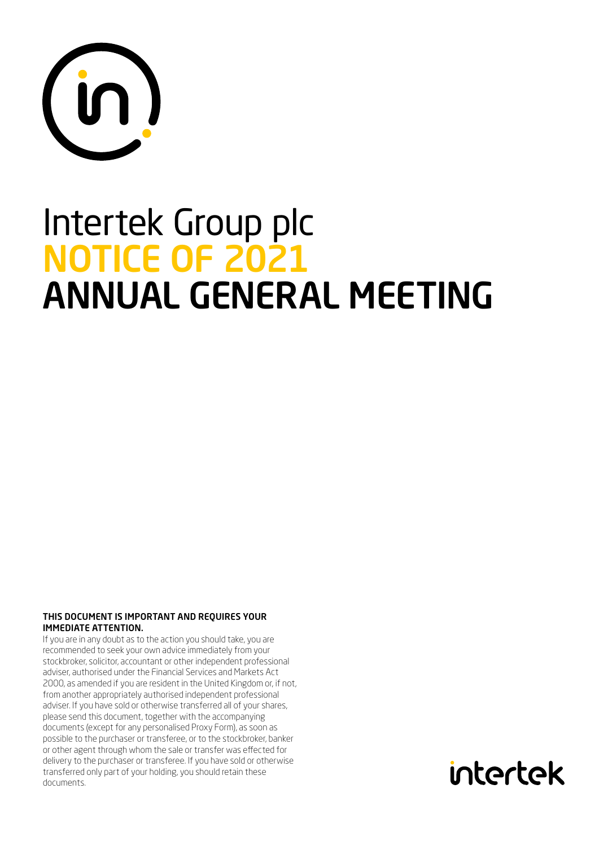

# Intertek Group plc NOTICE OF 2021 ANNUAL GENERAL MEETING

#### THIS DOCUMENT IS IMPORTANT AND REQUIRES YOUR IMMEDIATE ATTENTION.

If you are in any doubt as to the action you should take, you are recommended to seek your own advice immediately from your stockbroker, solicitor, accountant or other independent professional adviser, authorised under the Financial Services and Markets Act 2000, as amended if you are resident in the United Kingdom or, if not, from another appropriately authorised independent professional adviser. If you have sold or otherwise transferred all of your shares, please send this document, together with the accompanying documents (except for any personalised Proxy Form), as soon as possible to the purchaser or transferee, or to the stockbroker, banker or other agent through whom the sale or transfer was effected for delivery to the purchaser or transferee. If you have sold or otherwise transferred only part of your holding, you should retain these documents.

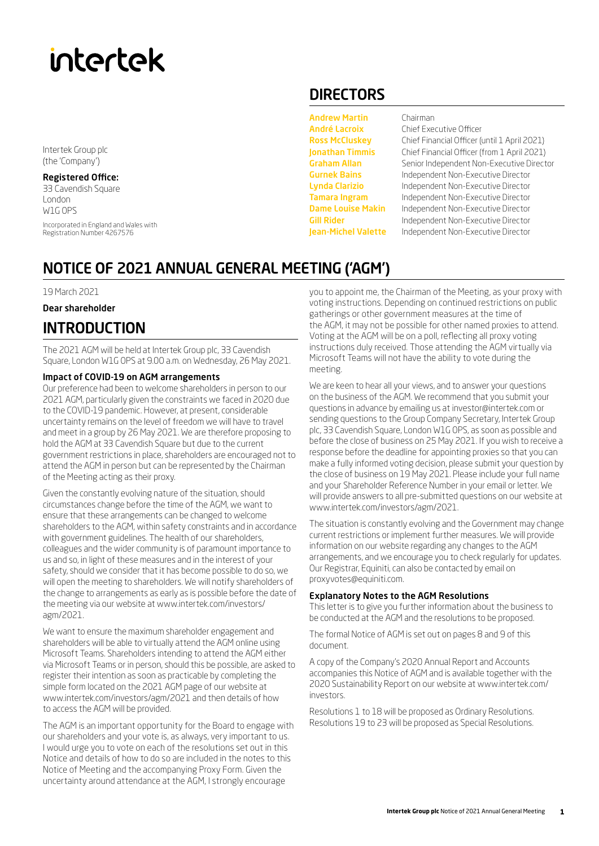# intertek

Intertek Group plc (the 'Company')

#### Registered Office:

33 Cavendish Square London W1G 0PS

Incorporated in England and Wales with Registration Number 4267576

# **DIRECTORS**

**Andrew Martin Chairman André Lacroix** Chief Executive Officer

Ross McCluskey Chief Financial Officer (until 1 April 2021) **Jonathan Timmis** Chief Financial Officer (from 1 April 2021) **Graham Allan** Senior Independent Non-Executive Director **Gurnek Bains** Independent Non-Executive Director Lynda Clarizio **Independent Non-Executive Director Tamara Ingram** Independent Non-Executive Director **Dame Louise Makin** Independent Non-Executive Director **Gill Rider Independent Non-Executive Director Jean-Michel Valette** Independent Non-Executive Director

### NOTICE OF 2021 ANNUAL GENERAL MEETING ('AGM')

#### 19 March 2021

Dear shareholder

### INTRODUCTION

The 2021 AGM will be held at Intertek Group plc, 33 Cavendish Square, London W1G 0PS at 9.00 a.m. on Wednesday, 26 May 2021.

#### Impact of COVID-19 on AGM arrangements

Our preference had been to welcome shareholders in person to our 2021 AGM, particularly given the constraints we faced in 2020 due to the COVID-19 pandemic. However, at present, considerable uncertainty remains on the level of freedom we will have to travel and meet in a group by 26 May 2021. We are therefore proposing to hold the AGM at 33 Cavendish Square but due to the current government restrictions in place, shareholders are encouraged not to attend the AGM in person but can be represented by the Chairman of the Meeting acting as their proxy.

Given the constantly evolving nature of the situation, should circumstances change before the time of the AGM, we want to ensure that these arrangements can be changed to welcome shareholders to the AGM, within safety constraints and in accordance with government guidelines. The health of our shareholders, colleagues and the wider community is of paramount importance to us and so, in light of these measures and in the interest of your safety, should we consider that it has become possible to do so, we will open the meeting to shareholders. We will notify shareholders of the change to arrangements as early as is possible before the date of the meeting via our website at www.intertek.com/investors/ agm/2021.

We want to ensure the maximum shareholder engagement and shareholders will be able to virtually attend the AGM online using Microsoft Teams. Shareholders intending to attend the AGM either via Microsoft Teams or in person, should this be possible, are asked to register their intention as soon as practicable by completing the simple form located on the 2021 AGM page of our website at www.intertek.com/investors/agm/2021 and then details of how to access the AGM will be provided.

The AGM is an important opportunity for the Board to engage with our shareholders and your vote is, as always, very important to us. I would urge you to vote on each of the resolutions set out in this Notice and details of how to do so are included in the notes to this Notice of Meeting and the accompanying Proxy Form. Given the uncertainty around attendance at the AGM, I strongly encourage

you to appoint me, the Chairman of the Meeting, as your proxy with voting instructions. Depending on continued restrictions on public gatherings or other government measures at the time of the AGM, it may not be possible for other named proxies to attend. Voting at the AGM will be on a poll, reflecting all proxy voting instructions duly received. Those attending the AGM virtually via Microsoft Teams will not have the ability to vote during the meeting.

We are keen to hear all your views, and to answer your questions on the business of the AGM. We recommend that you submit your questions in advance by emailing us at investor@intertek.com or sending questions to the Group Company Secretary, Intertek Group plc, 33 Cavendish Square, London W1G 0PS, as soon as possible and before the close of business on 25 May 2021. If you wish to receive a response before the deadline for appointing proxies so that you can make a fully informed voting decision, please submit your question by the close of business on 19 May 2021. Please include your full name and your Shareholder Reference Number in your email or letter. We will provide answers to all pre-submitted questions on our website at www.intertek.com/investors/agm/2021.

The situation is constantly evolving and the Government may change current restrictions or implement further measures. We will provide information on our website regarding any changes to the AGM arrangements, and we encourage you to check regularly for updates. Our Registrar, Equiniti, can also be contacted by email on proxyvotes@equiniti.com.

#### Explanatory Notes to the AGM Resolutions

This letter is to give you further information about the business to be conducted at the AGM and the resolutions to be proposed.

The formal Notice of AGM is set out on pages 8 and 9 of this document.

A copy of the Company's 2020 Annual Report and Accounts accompanies this Notice of AGM and is available together with the 2020 Sustainability Report on our website at www.intertek.com/ investors.

Resolutions 1 to 18 will be proposed as Ordinary Resolutions. Resolutions 19 to 23 will be proposed as Special Resolutions.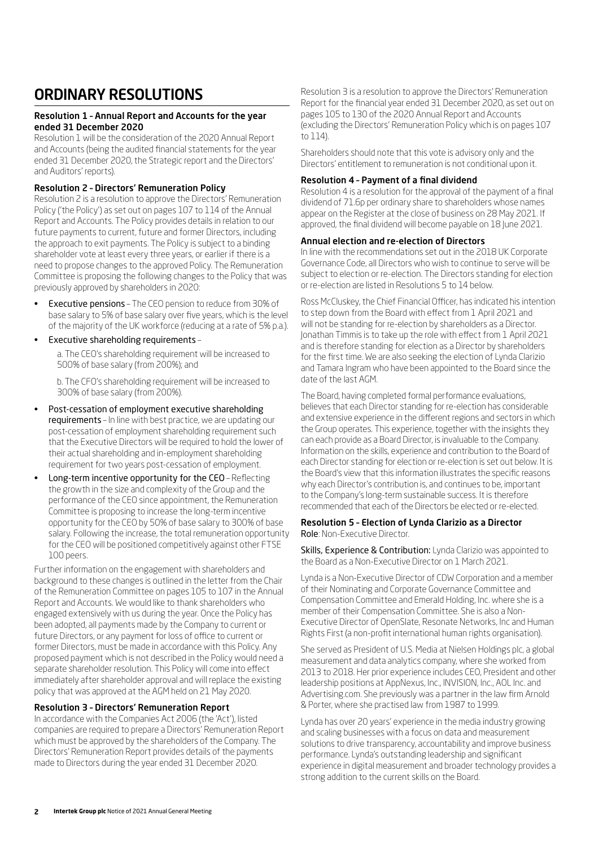# ORDINARY RESOLUTIONS

#### Resolution 1 – Annual Report and Accounts for the year ended 31 December 2020

Resolution 1 will be the consideration of the 2020 Annual Report and Accounts (being the audited financial statements for the year ended 31 December 2020, the Strategic report and the Directors' and Auditors' reports).

#### Resolution 2 – Directors' Remuneration Policy

Resolution 2 is a resolution to approve the Directors' Remuneration Policy ('the Policy') as set out on pages 107 to 114 of the Annual Report and Accounts. The Policy provides details in relation to our future payments to current, future and former Directors, including the approach to exit payments. The Policy is subject to a binding shareholder vote at least every three years, or earlier if there is a need to propose changes to the approved Policy. The Remuneration Committee is proposing the following changes to the Policy that was previously approved by shareholders in 2020:

- Executive pensions The CEO pension to reduce from 30% of base salary to 5% of base salary over five years, which is the level of the majority of the UK workforce (reducing at a rate of 5% p.a.).
- Executive shareholding requirements –

a. The CEO's shareholding requirement will be increased to 500% of base salary (from 200%); and

b. The CFO's shareholding requirement will be increased to 300% of base salary (from 200%).

- Post-cessation of employment executive shareholding requirements – In line with best practice, we are updating our post-cessation of employment shareholding requirement such that the Executive Directors will be required to hold the lower of their actual shareholding and in-employment shareholding requirement for two years post-cessation of employment.
- Long-term incentive opportunity for the CEO Reflecting the growth in the size and complexity of the Group and the performance of the CEO since appointment, the Remuneration Committee is proposing to increase the long-term incentive opportunity for the CEO by 50% of base salary to 300% of base salary. Following the increase, the total remuneration opportunity for the CEO will be positioned competitively against other FTSE 100 peers.

Further information on the engagement with shareholders and background to these changes is outlined in the letter from the Chair of the Remuneration Committee on pages 105 to 107 in the Annual Report and Accounts. We would like to thank shareholders who engaged extensively with us during the year. Once the Policy has been adopted, all payments made by the Company to current or future Directors, or any payment for loss of office to current or former Directors, must be made in accordance with this Policy. Any proposed payment which is not described in the Policy would need a separate shareholder resolution. This Policy will come into effect immediately after shareholder approval and will replace the existing policy that was approved at the AGM held on 21 May 2020.

#### Resolution 3 – Directors' Remuneration Report

In accordance with the Companies Act 2006 (the 'Act'), listed companies are required to prepare a Directors' Remuneration Report which must be approved by the shareholders of the Company. The Directors' Remuneration Report provides details of the payments made to Directors during the year ended 31 December 2020.

Resolution 3 is a resolution to approve the Directors' Remuneration Report for the financial year ended 31 December 2020, as set out on pages 105 to 130 of the 2020 Annual Report and Accounts (excluding the Directors' Remuneration Policy which is on pages 107 to 114).

Shareholders should note that this vote is advisory only and the Directors' entitlement to remuneration is not conditional upon it.

#### Resolution 4 – Payment of a final dividend

Resolution 4 is a resolution for the approval of the payment of a final dividend of 71.6p per ordinary share to shareholders whose names appear on the Register at the close of business on 28 May 2021. If approved, the final dividend will become payable on 18 June 2021.

#### Annual election and re-election of Directors

In line with the recommendations set out in the 2018 UK Corporate Governance Code, all Directors who wish to continue to serve will be subject to election or re-election. The Directors standing for election or re-election are listed in Resolutions 5 to 14 below.

Ross McCluskey, the Chief Financial Officer, has indicated his intention to step down from the Board with effect from 1 April 2021 and will not be standing for re-election by shareholders as a Director. Jonathan Timmis is to take up the role with effect from 1 April 2021 and is therefore standing for election as a Director by shareholders for the first time. We are also seeking the election of Lynda Clarizio and Tamara Ingram who have been appointed to the Board since the date of the last AGM.

The Board, having completed formal performance evaluations, believes that each Director standing for re-election has considerable and extensive experience in the different regions and sectors in which the Group operates. This experience, together with the insights they can each provide as a Board Director, is invaluable to the Company. Information on the skills, experience and contribution to the Board of each Director standing for election or re-election is set out below. It is the Board's view that this information illustrates the specific reasons why each Director's contribution is, and continues to be, important to the Company's long-term sustainable success. It is therefore recommended that each of the Directors be elected or re-elected.

#### Resolution 5 – Election of Lynda Clarizio as a Director Role: Non-Executive Director.

Skills, Experience & Contribution: Lynda Clarizio was appointed to the Board as a Non-Executive Director on 1 March 2021.

Lynda is a Non-Executive Director of CDW Corporation and a member of their Nominating and Corporate Governance Committee and Compensation Committee and Emerald Holding, Inc. where she is a member of their Compensation Committee. She is also a Non-Executive Director of OpenSlate, Resonate Networks, Inc and Human Rights First (a non-profit international human rights organisation).

She served as President of U.S. Media at Nielsen Holdings plc, a global measurement and data analytics company, where she worked from 2013 to 2018. Her prior experience includes CEO, President and other leadership positions at AppNexus, Inc., INVISION, Inc., AOL Inc. and Advertising.com. She previously was a partner in the law firm Arnold & Porter, where she practised law from 1987 to 1999.

Lynda has over 20 years' experience in the media industry growing and scaling businesses with a focus on data and measurement solutions to drive transparency, accountability and improve business performance. Lynda's outstanding leadership and significant experience in digital measurement and broader technology provides a strong addition to the current skills on the Board.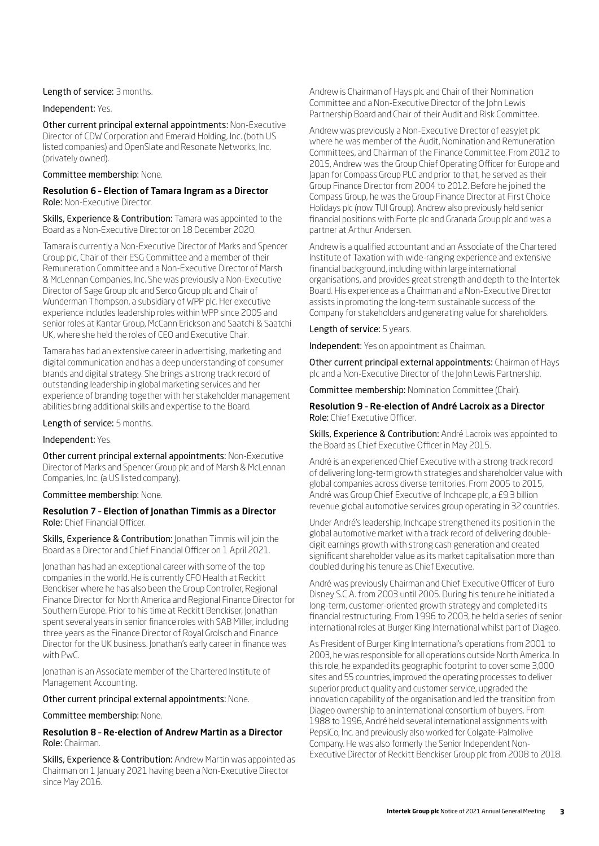#### Length of service: 3 months.

#### Independent: Yes.

Other current principal external appointments: Non-Executive Director of CDW Corporation and Emerald Holding, Inc. (both US listed companies) and OpenSlate and Resonate Networks, Inc. (privately owned).

#### Committee membership: None.

Resolution 6 – Election of Tamara Ingram as a Director Role: Non-Executive Director.

Skills, Experience & Contribution: Tamara was appointed to the Board as a Non-Executive Director on 18 December 2020.

Tamara is currently a Non-Executive Director of Marks and Spencer Group plc, Chair of their ESG Committee and a member of their Remuneration Committee and a Non-Executive Director of Marsh & McLennan Companies, Inc. She was previously a Non-Executive Director of Sage Group plc and Serco Group plc and Chair of Wunderman Thompson, a subsidiary of WPP plc. Her executive experience includes leadership roles within WPP since 2005 and senior roles at Kantar Group, McCann Erickson and Saatchi & Saatchi UK, where she held the roles of CEO and Executive Chair.

Tamara has had an extensive career in advertising, marketing and digital communication and has a deep understanding of consumer brands and digital strategy. She brings a strong track record of outstanding leadership in global marketing services and her experience of branding together with her stakeholder management abilities bring additional skills and expertise to the Board.

#### Length of service: 5 months.

#### Independent: Yes.

Other current principal external appointments: Non-Executive Director of Marks and Spencer Group plc and of Marsh & McLennan Companies, Inc. (a US listed company).

#### Committee membership: None.

#### Resolution 7 – Election of Jonathan Timmis as a Director Role: Chief Financial Officer.

Skills, Experience & Contribution: Jonathan Timmis will join the Board as a Director and Chief Financial Officer on 1 April 2021.

Jonathan has had an exceptional career with some of the top companies in the world. He is currently CFO Health at Reckitt Benckiser where he has also been the Group Controller, Regional Finance Director for North America and Regional Finance Director for Southern Europe. Prior to his time at Reckitt Benckiser, Jonathan spent several years in senior finance roles with SAB Miller, including three years as the Finance Director of Royal Grolsch and Finance Director for the UK business. Jonathan's early career in finance was with PwC.

Jonathan is an Associate member of the Chartered Institute of Management Accounting.

#### Other current principal external appointments: None.

#### Committee membership: None.

#### Resolution 8 – Re-election of Andrew Martin as a Director Role: Chairman.

Skills, Experience & Contribution: Andrew Martin was appointed as Chairman on 1 January 2021 having been a Non-Executive Director since May 2016.

Andrew is Chairman of Hays plc and Chair of their Nomination Committee and a Non-Executive Director of the John Lewis Partnership Board and Chair of their Audit and Risk Committee.

Andrew was previously a Non-Executive Director of easyJet plc where he was member of the Audit, Nomination and Remuneration Committees, and Chairman of the Finance Committee. From 2012 to 2015, Andrew was the Group Chief Operating Officer for Europe and Japan for Compass Group PLC and prior to that, he served as their Group Finance Director from 2004 to 2012. Before he joined the Compass Group, he was the Group Finance Director at First Choice Holidays plc (now TUI Group). Andrew also previously held senior financial positions with Forte plc and Granada Group plc and was a partner at Arthur Andersen.

Andrew is a qualified accountant and an Associate of the Chartered Institute of Taxation with wide-ranging experience and extensive financial background, including within large international organisations, and provides great strength and depth to the Intertek Board. His experience as a Chairman and a Non-Executive Director assists in promoting the long-term sustainable success of the Company for stakeholders and generating value for shareholders.

#### Length of service: 5 years.

Independent: Yes on appointment as Chairman.

Other current principal external appointments: Chairman of Hays plc and a Non-Executive Director of the John Lewis Partnership.

Committee membership: Nomination Committee (Chair).

#### Resolution 9 – Re-election of André Lacroix as a Director Role: Chief Executive Officer.

Skills, Experience & Contribution: André Lacroix was appointed to the Board as Chief Executive Officer in May 2015.

André is an experienced Chief Executive with a strong track record of delivering long-term growth strategies and shareholder value with global companies across diverse territories. From 2005 to 2015, André was Group Chief Executive of Inchcape plc, a £9.3 billion revenue global automotive services group operating in 32 countries.

Under André's leadership, Inchcape strengthened its position in the global automotive market with a track record of delivering doubledigit earnings growth with strong cash generation and created significant shareholder value as its market capitalisation more than doubled during his tenure as Chief Executive.

André was previously Chairman and Chief Executive Officer of Euro Disney S.C.A. from 2003 until 2005. During his tenure he initiated a long-term, customer-oriented growth strategy and completed its financial restructuring. From 1996 to 2003, he held a series of senior international roles at Burger King International whilst part of Diageo.

As President of Burger King International's operations from 2001 to 2003, he was responsible for all operations outside North America. In this role, he expanded its geographic footprint to cover some 3,000 sites and 55 countries, improved the operating processes to deliver superior product quality and customer service, upgraded the innovation capability of the organisation and led the transition from Diageo ownership to an international consortium of buyers. From 1988 to 1996, André held several international assignments with PepsiCo, Inc. and previously also worked for Colgate-Palmolive Company. He was also formerly the Senior Independent Non-Executive Director of Reckitt Benckiser Group plc from 2008 to 2018.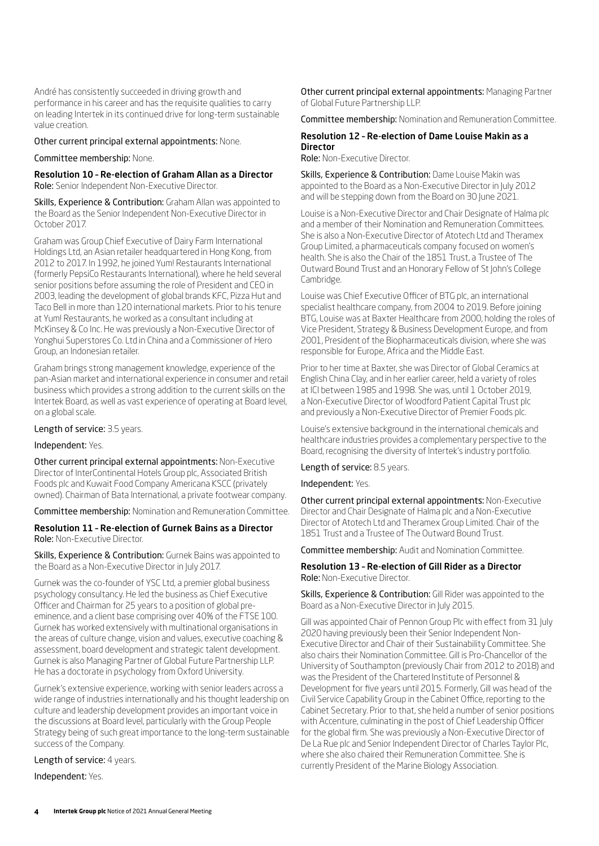André has consistently succeeded in driving growth and performance in his career and has the requisite qualities to carry on leading Intertek in its continued drive for long-term sustainable value creation.

#### Other current principal external appointments: None.

Committee membership: None.

#### Resolution 10 – Re-election of Graham Allan as a Director Role: Senior Independent Non-Executive Director.

Skills, Experience & Contribution: Graham Allan was appointed to the Board as the Senior Independent Non-Executive Director in October 2017.

Graham was Group Chief Executive of Dairy Farm International Holdings Ltd, an Asian retailer headquartered in Hong Kong, from 2012 to 2017. In 1992, he joined Yum! Restaurants International (formerly PepsiCo Restaurants International), where he held several senior positions before assuming the role of President and CEO in 2003, leading the development of global brands KFC, Pizza Hut and Taco Bell in more than 120 international markets. Prior to his tenure at Yum! Restaurants, he worked as a consultant including at McKinsey & Co Inc. He was previously a Non-Executive Director of Yonghui Superstores Co. Ltd in China and a Commissioner of Hero Group, an Indonesian retailer.

Graham brings strong management knowledge, experience of the pan-Asian market and international experience in consumer and retail business which provides a strong addition to the current skills on the Intertek Board, as well as vast experience of operating at Board level, on a global scale.

Length of service: 3.5 years.

#### Independent: Yes.

Other current principal external appointments: Non-Executive Director of InterContinental Hotels Group plc, Associated British Foods plc and Kuwait Food Company Americana KSCC (privately owned). Chairman of Bata International, a private footwear company.

Committee membership: Nomination and Remuneration Committee.

Resolution 11 – Re-election of Gurnek Bains as a Director Role: Non-Executive Director.

Skills, Experience & Contribution: Gurnek Bains was appointed to the Board as a Non-Executive Director in July 2017.

Gurnek was the co-founder of YSC Ltd, a premier global business psychology consultancy. He led the business as Chief Executive Officer and Chairman for 25 years to a position of global preeminence, and a client base comprising over 40% of the FTSE 100. Gurnek has worked extensively with multinational organisations in the areas of culture change, vision and values, executive coaching & assessment, board development and strategic talent development. Gurnek is also Managing Partner of Global Future Partnership LLP. He has a doctorate in psychology from Oxford University.

Gurnek's extensive experience, working with senior leaders across a wide range of industries internationally and his thought leadership on culture and leadership development provides an important voice in the discussions at Board level, particularly with the Group People Strategy being of such great importance to the long-term sustainable success of the Company.

#### Length of service: 4 years.

Independent: Yes.

Other current principal external appointments: Managing Partner of Global Future Partnership LLP.

Committee membership: Nomination and Remuneration Committee.

#### Resolution 12 – Re-election of Dame Louise Makin as a Director

Role: Non-Executive Director.

Skills, Experience & Contribution: Dame Louise Makin was appointed to the Board as a Non-Executive Director in July 2012 and will be stepping down from the Board on 30 June 2021.

Louise is a Non-Executive Director and Chair Designate of Halma plc and a member of their Nomination and Remuneration Committees. She is also a Non-Executive Director of Atotech Ltd and Theramex Group Limited, a pharmaceuticals company focused on women's health. She is also the Chair of the 1851 Trust, a Trustee of The Outward Bound Trust and an Honorary Fellow of St John's College Cambridge.

Louise was Chief Executive Officer of BTG plc, an international specialist healthcare company, from 2004 to 2019. Before joining BTG, Louise was at Baxter Healthcare from 2000, holding the roles of Vice President, Strategy & Business Development Europe, and from 2001, President of the Biopharmaceuticals division, where she was responsible for Europe, Africa and the Middle East.

Prior to her time at Baxter, she was Director of Global Ceramics at English China Clay, and in her earlier career, held a variety of roles at ICI between 1985 and 1998. She was, until 1 October 2019, a Non-Executive Director of Woodford Patient Capital Trust plc and previously a Non-Executive Director of Premier Foods plc.

Louise's extensive background in the international chemicals and healthcare industries provides a complementary perspective to the Board, recognising the diversity of Intertek's industry portfolio.

#### Length of service: 8.5 years.

Independent: Yes.

Other current principal external appointments: Non-Executive Director and Chair Designate of Halma plc and a Non-Executive Director of Atotech Ltd and Theramex Group Limited. Chair of the 1851 Trust and a Trustee of The Outward Bound Trust.

Committee membership: Audit and Nomination Committee.

#### Resolution 13 – Re-election of Gill Rider as a Director Role: Non-Executive Director.

Skills, Experience & Contribution: Gill Rider was appointed to the Board as a Non-Executive Director in July 2015.

Gill was appointed Chair of Pennon Group Plc with effect from 31 July 2020 having previously been their Senior Independent Non-Executive Director and Chair of their Sustainability Committee. She also chairs their Nomination Committee. Gill is Pro-Chancellor of the University of Southampton (previously Chair from 2012 to 2018) and was the President of the Chartered Institute of Personnel & Development for five years until 2015. Formerly, Gill was head of the Civil Service Capability Group in the Cabinet Office, reporting to the Cabinet Secretary. Prior to that, she held a number of senior positions with Accenture, culminating in the post of Chief Leadership Officer for the global firm. She was previously a Non-Executive Director of De La Rue plc and Senior Independent Director of Charles Taylor Plc, where she also chaired their Remuneration Committee. She is currently President of the Marine Biology Association.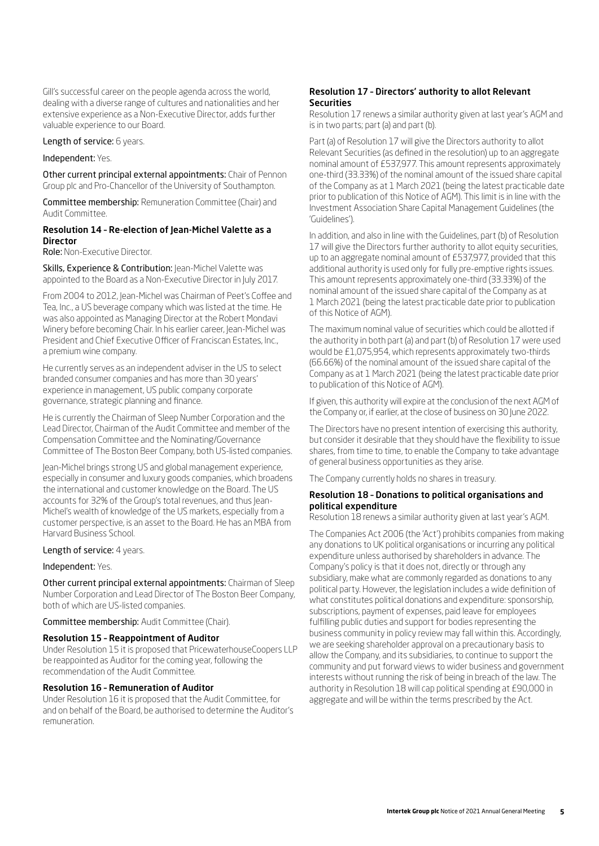Gill's successful career on the people agenda across the world, dealing with a diverse range of cultures and nationalities and her extensive experience as a Non-Executive Director, adds further valuable experience to our Board.

Length of service: 6 years.

Independent: Yes.

Other current principal external appointments: Chair of Pennon Group plc and Pro-Chancellor of the University of Southampton.

Committee membership: Remuneration Committee (Chair) and Audit Committee.

#### Resolution 14 – Re-election of Jean-Michel Valette as a **Director**

Role: Non-Executive Director.

Skills, Experience & Contribution: Jean-Michel Valette was appointed to the Board as a Non-Executive Director in July 2017.

From 2004 to 2012, Jean-Michel was Chairman of Peet's Coffee and Tea, Inc., a US beverage company which was listed at the time. He was also appointed as Managing Director at the Robert Mondavi Winery before becoming Chair. In his earlier career, Jean-Michel was President and Chief Executive Officer of Franciscan Estates, Inc., a premium wine company.

He currently serves as an independent adviser in the US to select branded consumer companies and has more than 30 years' experience in management, US public company corporate governance, strategic planning and finance.

He is currently the Chairman of Sleep Number Corporation and the Lead Director, Chairman of the Audit Committee and member of the Compensation Committee and the Nominating/Governance Committee of The Boston Beer Company, both US-listed companies.

Jean-Michel brings strong US and global management experience, especially in consumer and luxury goods companies, which broadens the international and customer knowledge on the Board. The US accounts for 32% of the Group's total revenues, and thus Jean-Michel's wealth of knowledge of the US markets, especially from a customer perspective, is an asset to the Board. He has an MBA from Harvard Business School.

Length of service: 4 years.

#### Independent: Yes.

Other current principal external appointments: Chairman of Sleep Number Corporation and Lead Director of The Boston Beer Company, both of which are US-listed companies.

Committee membership: Audit Committee (Chair).

#### Resolution 15 – Reappointment of Auditor

Under Resolution 15 it is proposed that PricewaterhouseCoopers LLP be reappointed as Auditor for the coming year, following the recommendation of the Audit Committee.

#### Resolution 16 – Remuneration of Auditor

Under Resolution 16 it is proposed that the Audit Committee, for and on behalf of the Board, be authorised to determine the Auditor's remuneration.

#### Resolution 17 – Directors' authority to allot Relevant **Securities**

Resolution 17 renews a similar authority given at last year's AGM and is in two parts; part (a) and part (b).

Part (a) of Resolution 17 will give the Directors authority to allot Relevant Securities (as defined in the resolution) up to an aggregate nominal amount of £537,977. This amount represents approximately one-third (33.33%) of the nominal amount of the issued share capital of the Company as at 1 March 2021 (being the latest practicable date prior to publication of this Notice of AGM). This limit is in line with the Investment Association Share Capital Management Guidelines (the 'Guidelines').

In addition, and also in line with the Guidelines, part (b) of Resolution 17 will give the Directors further authority to allot equity securities, up to an aggregate nominal amount of £537,977, provided that this additional authority is used only for fully pre-emptive rights issues. This amount represents approximately one-third (33.33%) of the nominal amount of the issued share capital of the Company as at 1 March 2021 (being the latest practicable date prior to publication of this Notice of AGM).

The maximum nominal value of securities which could be allotted if the authority in both part (a) and part (b) of Resolution 17 were used would be £1,075,954, which represents approximately two-thirds (66.66%) of the nominal amount of the issued share capital of the Company as at 1 March 2021 (being the latest practicable date prior to publication of this Notice of AGM).

If given, this authority will expire at the conclusion of the next AGM of the Company or, if earlier, at the close of business on 30 June 2022.

The Directors have no present intention of exercising this authority, but consider it desirable that they should have the flexibility to issue shares, from time to time, to enable the Company to take advantage of general business opportunities as they arise.

The Company currently holds no shares in treasury.

#### Resolution 18 – Donations to political organisations and political expenditure

Resolution 18 renews a similar authority given at last year's AGM.

The Companies Act 2006 (the 'Act') prohibits companies from making any donations to UK political organisations or incurring any political expenditure unless authorised by shareholders in advance. The Company's policy is that it does not, directly or through any subsidiary, make what are commonly regarded as donations to any political party. However, the legislation includes a wide definition of what constitutes political donations and expenditure: sponsorship, subscriptions, payment of expenses, paid leave for employees fulfilling public duties and support for bodies representing the business community in policy review may fall within this. Accordingly, we are seeking shareholder approval on a precautionary basis to allow the Company, and its subsidiaries, to continue to support the community and put forward views to wider business and government interests without running the risk of being in breach of the law. The authority in Resolution 18 will cap political spending at £90,000 in aggregate and will be within the terms prescribed by the Act.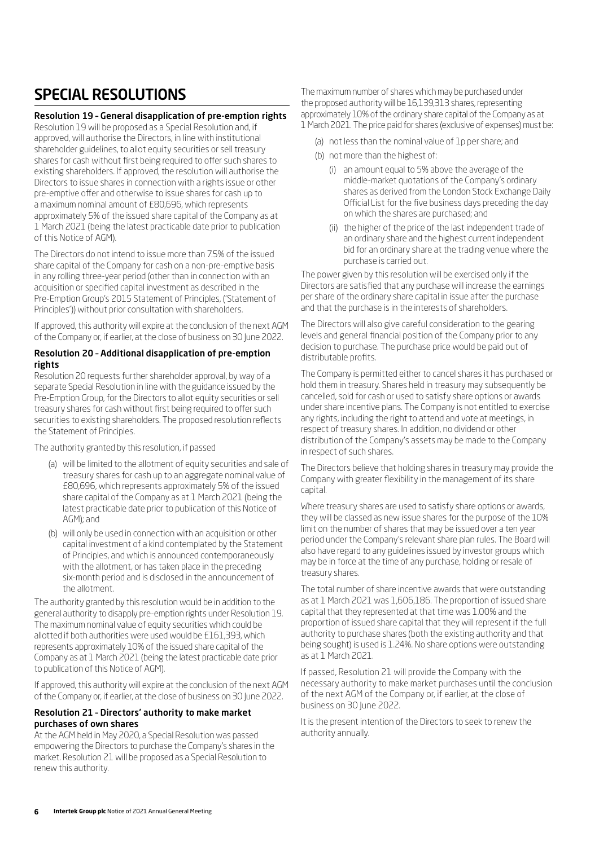# SPECIAL RESOLUTIONS

#### Resolution 19 – General disapplication of pre-emption rights

Resolution 19 will be proposed as a Special Resolution and, if approved, will authorise the Directors, in line with institutional shareholder guidelines, to allot equity securities or sell treasury shares for cash without first being required to offer such shares to existing shareholders. If approved, the resolution will authorise the Directors to issue shares in connection with a rights issue or other pre-emptive offer and otherwise to issue shares for cash up to a maximum nominal amount of £80,696, which represents approximately 5% of the issued share capital of the Company as at 1 March 2021 (being the latest practicable date prior to publication of this Notice of AGM).

The Directors do not intend to issue more than 7.5% of the issued share capital of the Company for cash on a non-pre-emptive basis in any rolling three-year period (other than in connection with an acquisition or specified capital investment as described in the Pre-Emption Group's 2015 Statement of Principles, ('Statement of Principles')) without prior consultation with shareholders.

If approved, this authority will expire at the conclusion of the next AGM of the Company or, if earlier, at the close of business on 30 June 2022.

#### Resolution 20 – Additional disapplication of pre-emption rights

Resolution 20 requests further shareholder approval, by way of a separate Special Resolution in line with the guidance issued by the Pre-Emption Group, for the Directors to allot equity securities or sell treasury shares for cash without first being required to offer such securities to existing shareholders. The proposed resolution reflects the Statement of Principles.

The authority granted by this resolution, if passed

- (a) will be limited to the allotment of equity securities and sale of treasury shares for cash up to an aggregate nominal value of £80,696, which represents approximately 5% of the issued share capital of the Company as at 1 March 2021 (being the latest practicable date prior to publication of this Notice of AGM); and
- (b) will only be used in connection with an acquisition or other capital investment of a kind contemplated by the Statement of Principles, and which is announced contemporaneously with the allotment, or has taken place in the preceding six-month period and is disclosed in the announcement of the allotment.

The authority granted by this resolution would be in addition to the general authority to disapply pre-emption rights under Resolution 19. The maximum nominal value of equity securities which could be allotted if both authorities were used would be £161,393, which represents approximately 10% of the issued share capital of the Company as at 1 March 2021 (being the latest practicable date prior to publication of this Notice of AGM).

If approved, this authority will expire at the conclusion of the next AGM of the Company or, if earlier, at the close of business on 30 June 2022.

#### Resolution 21 – Directors' authority to make market purchases of own shares

At the AGM held in May 2020, a Special Resolution was passed empowering the Directors to purchase the Company's shares in the market. Resolution 21 will be proposed as a Special Resolution to renew this authority.

The maximum number of shares which may be purchased under the proposed authority will be 16,139,313 shares, representing approximately 10% of the ordinary share capital of the Company as at 1 March 2021. The price paid for shares (exclusive of expenses) must be:

- (a) not less than the nominal value of 1p per share; and
- (b) not more than the highest of:
	- (i) an amount equal to 5% above the average of the middle-market quotations of the Company's ordinary shares as derived from the London Stock Exchange Daily Official List for the five business days preceding the day on which the shares are purchased; and
	- (ii) the higher of the price of the last independent trade of an ordinary share and the highest current independent bid for an ordinary share at the trading venue where the purchase is carried out.

The power given by this resolution will be exercised only if the Directors are satisfied that any purchase will increase the earnings per share of the ordinary share capital in issue after the purchase and that the purchase is in the interests of shareholders.

The Directors will also give careful consideration to the gearing levels and general financial position of the Company prior to any decision to purchase. The purchase price would be paid out of distributable profits.

The Company is permitted either to cancel shares it has purchased or hold them in treasury. Shares held in treasury may subsequently be cancelled, sold for cash or used to satisfy share options or awards under share incentive plans. The Company is not entitled to exercise any rights, including the right to attend and vote at meetings, in respect of treasury shares. In addition, no dividend or other distribution of the Company's assets may be made to the Company in respect of such shares.

The Directors believe that holding shares in treasury may provide the Company with greater flexibility in the management of its share capital.

Where treasury shares are used to satisfy share options or awards, they will be classed as new issue shares for the purpose of the 10% limit on the number of shares that may be issued over a ten year period under the Company's relevant share plan rules. The Board will also have regard to any guidelines issued by investor groups which may be in force at the time of any purchase, holding or resale of treasury shares.

The total number of share incentive awards that were outstanding as at 1 March 2021 was 1,606,186. The proportion of issued share capital that they represented at that time was 1.00% and the proportion of issued share capital that they will represent if the full authority to purchase shares (both the existing authority and that being sought) is used is 1.24%. No share options were outstanding as at 1 March 2021.

If passed, Resolution 21 will provide the Company with the necessary authority to make market purchases until the conclusion of the next AGM of the Company or, if earlier, at the close of business on 30 June 2022.

It is the present intention of the Directors to seek to renew the authority annually.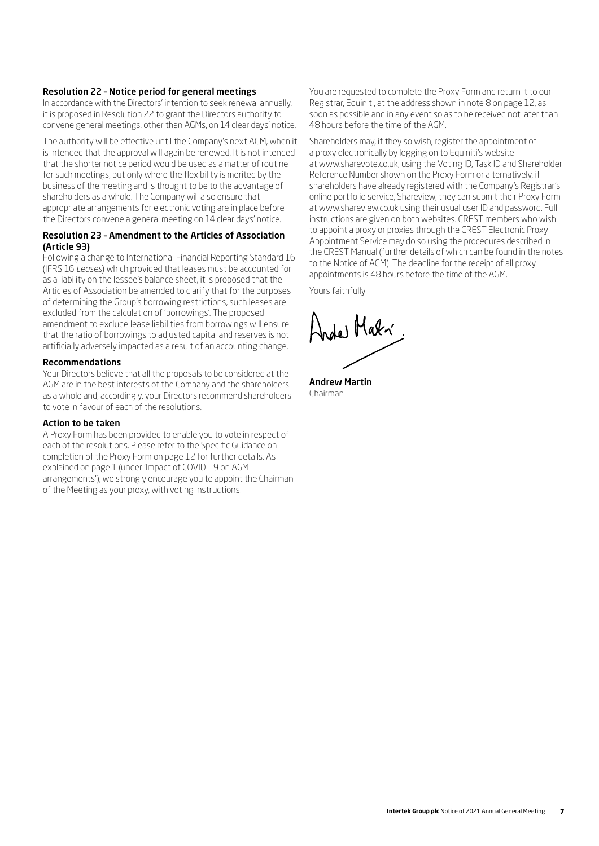#### Resolution 22 – Notice period for general meetings

In accordance with the Directors' intention to seek renewal annually, it is proposed in Resolution 22 to grant the Directors authority to convene general meetings, other than AGMs, on 14 clear days' notice.

The authority will be effective until the Company's next AGM, when it is intended that the approval will again be renewed. It is not intended that the shorter notice period would be used as a matter of routine for such meetings, but only where the flexibility is merited by the business of the meeting and is thought to be to the advantage of shareholders as a whole. The Company will also ensure that appropriate arrangements for electronic voting are in place before the Directors convene a general meeting on 14 clear days' notice.

#### Resolution 23 – Amendment to the Articles of Association (Article 93)

Following a change to International Financial Reporting Standard 16 (IFRS 16 *Leases*) which provided that leases must be accounted for as a liability on the lessee's balance sheet, it is proposed that the Articles of Association be amended to clarify that for the purposes of determining the Group's borrowing restrictions, such leases are excluded from the calculation of 'borrowings'. The proposed amendment to exclude lease liabilities from borrowings will ensure that the ratio of borrowings to adjusted capital and reserves is not artificially adversely impacted as a result of an accounting change.

#### Recommendations

Your Directors believe that all the proposals to be considered at the AGM are in the best interests of the Company and the shareholders as a whole and, accordingly, your Directors recommend shareholders to vote in favour of each of the resolutions.

#### Action to be taken

A Proxy Form has been provided to enable you to vote in respect of each of the resolutions. Please refer to the Specific Guidance on completion of the Proxy Form on page 12 for further details. As explained on page 1 (under 'Impact of COVID-19 on AGM arrangements'), we strongly encourage you to appoint the Chairman of the Meeting as your proxy, with voting instructions.

You are requested to complete the Proxy Form and return it to our Registrar, Equiniti, at the address shown in note 8 on page 12, as soon as possible and in any event so as to be received not later than 48 hours before the time of the AGM.

Shareholders may, if they so wish, register the appointment of a proxy electronically by logging on to Equiniti's website at www.sharevote.co.uk, using the Voting ID, Task ID and Shareholder Reference Number shown on the Proxy Form or alternatively, if shareholders have already registered with the Company's Registrar's online portfolio service, Shareview, they can submit their Proxy Form at www.shareview.co.uk using their usual user ID and password. Full instructions are given on both websites. CREST members who wish to appoint a proxy or proxies through the CREST Electronic Proxy Appointment Service may do so using the procedures described in the CREST Manual (further details of which can be found in the notes to the Notice of AGM). The deadline for the receipt of all proxy appointments is 48 hours before the time of the AGM.

Yours faithfully

Ander Marr

Andrew Martin Chairman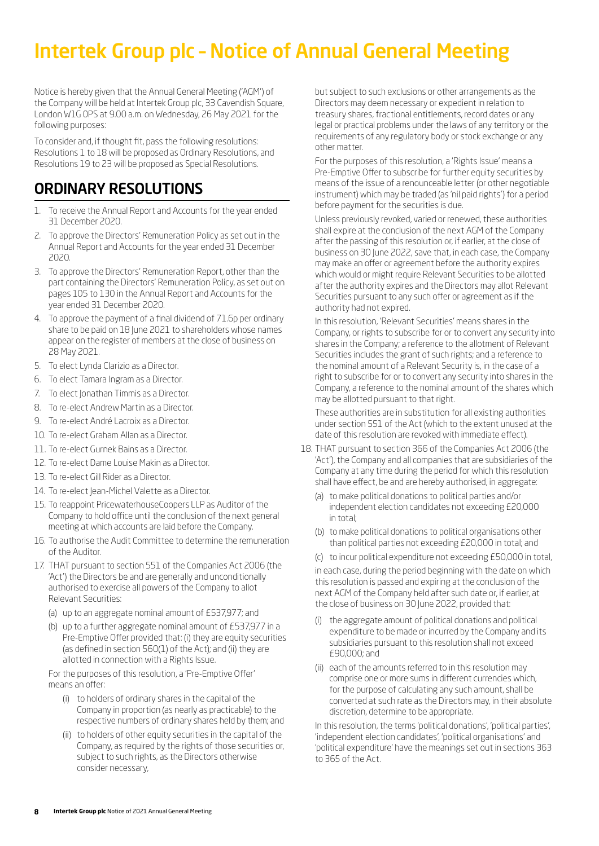# Intertek Group plc – Notice of Annual General Meeting

Notice is hereby given that the Annual General Meeting ('AGM') of the Company will be held at Intertek Group plc, 33 Cavendish Square, London W1G 0PS at 9.00 a.m. on Wednesday, 26 May 2021 for the following purposes:

To consider and, if thought fit, pass the following resolutions: Resolutions 1 to 18 will be proposed as Ordinary Resolutions, and Resolutions 19 to 23 will be proposed as Special Resolutions.

## ORDINARY RESOLUTIONS

- 1. To receive the Annual Report and Accounts for the year ended 31 December 2020.
- 2. To approve the Directors' Remuneration Policy as set out in the Annual Report and Accounts for the year ended 31 December 2020.
- 3. To approve the Directors' Remuneration Report, other than the part containing the Directors' Remuneration Policy, as set out on pages 105 to 130 in the Annual Report and Accounts for the year ended 31 December 2020.
- 4. To approve the payment of a final dividend of 71.6p per ordinary share to be paid on 18 June 2021 to shareholders whose names appear on the register of members at the close of business on 28 May 2021.
- 5. To elect Lynda Clarizio as a Director.
- 6. To elect Tamara Ingram as a Director.
- 7. To elect Jonathan Timmis as a Director.
- 8. To re-elect Andrew Martin as a Director.
- 9. To re-elect André Lacroix as a Director.
- 10. To re-elect Graham Allan as a Director.
- 11. To re-elect Gurnek Bains as a Director.
- 12. To re-elect Dame Louise Makin as a Director.
- 13. To re-elect Gill Rider as a Director.
- 14. To re-elect Jean-Michel Valette as a Director.
- 15. To reappoint PricewaterhouseCoopers LLP as Auditor of the Company to hold office until the conclusion of the next general meeting at which accounts are laid before the Company.
- 16. To authorise the Audit Committee to determine the remuneration of the Auditor.
- 17. THAT pursuant to section 551 of the Companies Act 2006 (the 'Act') the Directors be and are generally and unconditionally authorised to exercise all powers of the Company to allot Relevant Securities:
	- (a) up to an aggregate nominal amount of £537,977; and
	- (b) up to a further aggregate nominal amount of £537,977 in a Pre-Emptive Offer provided that: (i) they are equity securities (as defined in section 560(1) of the Act); and (ii) they are allotted in connection with a Rights Issue.

For the purposes of this resolution, a 'Pre-Emptive Offer' means an offer:

- (i) to holders of ordinary shares in the capital of the Company in proportion (as nearly as practicable) to the respective numbers of ordinary shares held by them; and
- (ii) to holders of other equity securities in the capital of the Company, as required by the rights of those securities or, subject to such rights, as the Directors otherwise consider necessary,

but subject to such exclusions or other arrangements as the Directors may deem necessary or expedient in relation to treasury shares, fractional entitlements, record dates or any legal or practical problems under the laws of any territory or the requirements of any regulatory body or stock exchange or any other matter.

For the purposes of this resolution, a 'Rights Issue' means a Pre-Emptive Offer to subscribe for further equity securities by means of the issue of a renounceable letter (or other negotiable instrument) which may be traded (as 'nil paid rights') for a period before payment for the securities is due.

Unless previously revoked, varied or renewed, these authorities shall expire at the conclusion of the next AGM of the Company after the passing of this resolution or, if earlier, at the close of business on 30 June 2022, save that, in each case, the Company may make an offer or agreement before the authority expires which would or might require Relevant Securities to be allotted after the authority expires and the Directors may allot Relevant Securities pursuant to any such offer or agreement as if the authority had not expired.

In this resolution, 'Relevant Securities' means shares in the Company, or rights to subscribe for or to convert any security into shares in the Company; a reference to the allotment of Relevant Securities includes the grant of such rights; and a reference to the nominal amount of a Relevant Security is, in the case of a right to subscribe for or to convert any security into shares in the Company, a reference to the nominal amount of the shares which may be allotted pursuant to that right.

These authorities are in substitution for all existing authorities under section 551 of the Act (which to the extent unused at the date of this resolution are revoked with immediate effect).

- 18. THAT pursuant to section 366 of the Companies Act 2006 (the 'Act'), the Company and all companies that are subsidiaries of the Company at any time during the period for which this resolution shall have effect, be and are hereby authorised, in aggregate:
	- (a) to make political donations to political parties and/or independent election candidates not exceeding £20,000 in total;
	- (b) to make political donations to political organisations other than political parties not exceeding £20,000 in total; and
	- (c) to incur political expenditure not exceeding £50,000 in total,

in each case, during the period beginning with the date on which this resolution is passed and expiring at the conclusion of the next AGM of the Company held after such date or, if earlier, at the close of business on 30 June 2022, provided that:

- (i) the aggregate amount of political donations and political expenditure to be made or incurred by the Company and its subsidiaries pursuant to this resolution shall not exceed £90,000; and
- (ii) each of the amounts referred to in this resolution may comprise one or more sums in different currencies which, for the purpose of calculating any such amount, shall be converted at such rate as the Directors may, in their absolute discretion, determine to be appropriate.

In this resolution, the terms 'political donations', 'political parties', 'independent election candidates', 'political organisations' and 'political expenditure' have the meanings set out in sections 363 to 365 of the Act.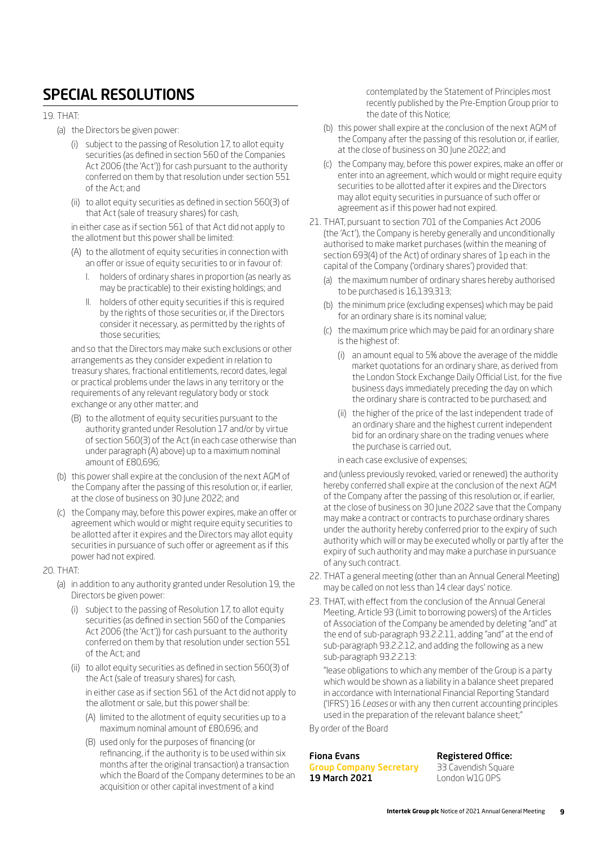# SPECIAL RESOLUTIONS

#### 19. THAT:

- (a) the Directors be given power:
	- (i) subject to the passing of Resolution 17, to allot equity securities (as defined in section 560 of the Companies Act 2006 (the 'Act')) for cash pursuant to the authority conferred on them by that resolution under section 551 of the Act; and
	- (ii) to allot equity securities as defined in section 560(3) of that Act (sale of treasury shares) for cash,

in either case as if section 561 of that Act did not apply to the allotment but this power shall be limited:

- (A) to the allotment of equity securities in connection with an offer or issue of equity securities to or in favour of:
	- I. holders of ordinary shares in proportion (as nearly as may be practicable) to their existing holdings; and
	- II. holders of other equity securities if this is required by the rights of those securities or, if the Directors consider it necessary, as permitted by the rights of those securities;

and so that the Directors may make such exclusions or other arrangements as they consider expedient in relation to treasury shares, fractional entitlements, record dates, legal or practical problems under the laws in any territory or the requirements of any relevant regulatory body or stock exchange or any other matter; and

- (B) to the allotment of equity securities pursuant to the authority granted under Resolution 17 and/or by virtue of section 560(3) of the Act (in each case otherwise than under paragraph (A) above) up to a maximum nominal amount of £80,696;
- (b) this power shall expire at the conclusion of the next AGM of the Company after the passing of this resolution or, if earlier, at the close of business on 30 June 2022; and
- (c) the Company may, before this power expires, make an offer or agreement which would or might require equity securities to be allotted after it expires and the Directors may allot equity securities in pursuance of such offer or agreement as if this power had not expired.
- 20. THAT:
	- (a) in addition to any authority granted under Resolution 19, the Directors be given power:
		- (i) subject to the passing of Resolution 17, to allot equity securities (as defined in section 560 of the Companies Act 2006 (the 'Act')) for cash pursuant to the authority conferred on them by that resolution under section 551 of the Act; and
		- (ii) to allot equity securities as defined in section 560(3) of the Act (sale of treasury shares) for cash, in either case as if section 561 of the Act did not apply to

the allotment or sale, but this power shall be:

- (A) limited to the allotment of equity securities up to a maximum nominal amount of £80,696; and
- (B) used only for the purposes of financing (or refinancing, if the authority is to be used within six months after the original transaction) a transaction which the Board of the Company determines to be an acquisition or other capital investment of a kind

contemplated by the Statement of Principles most recently published by the Pre-Emption Group prior to the date of this Notice;

- (b) this power shall expire at the conclusion of the next AGM of the Company after the passing of this resolution or, if earlier, at the close of business on 30 June 2022; and
- (c) the Company may, before this power expires, make an offer or enter into an agreement, which would or might require equity securities to be allotted after it expires and the Directors may allot equity securities in pursuance of such offer or agreement as if this power had not expired.
- 21. THAT, pursuant to section 701 of the Companies Act 2006 (the 'Act'), the Company is hereby generally and unconditionally authorised to make market purchases (within the meaning of section 693(4) of the Act) of ordinary shares of 1p each in the capital of the Company ('ordinary shares') provided that:
	- (a) the maximum number of ordinary shares hereby authorised to be purchased is 16,139,313;
	- (b) the minimum price (excluding expenses) which may be paid for an ordinary share is its nominal value;
	- (c) the maximum price which may be paid for an ordinary share is the highest of:
		- (i) an amount equal to 5% above the average of the middle market quotations for an ordinary share, as derived from the London Stock Exchange Daily Official List, for the five business days immediately preceding the day on which the ordinary share is contracted to be purchased; and
		- (ii) the higher of the price of the last independent trade of an ordinary share and the highest current independent bid for an ordinary share on the trading venues where the purchase is carried out,

in each case exclusive of expenses;

and (unless previously revoked, varied or renewed) the authority hereby conferred shall expire at the conclusion of the next AGM of the Company after the passing of this resolution or, if earlier, at the close of business on 30 June 2022 save that the Company may make a contract or contracts to purchase ordinary shares under the authority hereby conferred prior to the expiry of such authority which will or may be executed wholly or partly after the expiry of such authority and may make a purchase in pursuance of any such contract.

- 22. THAT a general meeting (other than an Annual General Meeting) may be called on not less than 14 clear days' notice.
- 23. THAT, with effect from the conclusion of the Annual General Meeting, Article 93 (Limit to borrowing powers) of the Articles of Association of the Company be amended by deleting "and" at the end of sub-paragraph 93.2.2.11, adding "and" at the end of sub-paragraph 93.2.2.12, and adding the following as a new sub-paragraph 93.2.2.13:

"lease obligations to which any member of the Group is a party which would be shown as a liability in a balance sheet prepared in accordance with International Financial Reporting Standard ('IFRS') 16 *Leases* or with any then current accounting principles used in the preparation of the relevant balance sheet;"

By order of the Board

#### Fiona Evans Group Company Secretary 19 March 2021

Registered Office: 33 Cavendish Square

London W1G 0PS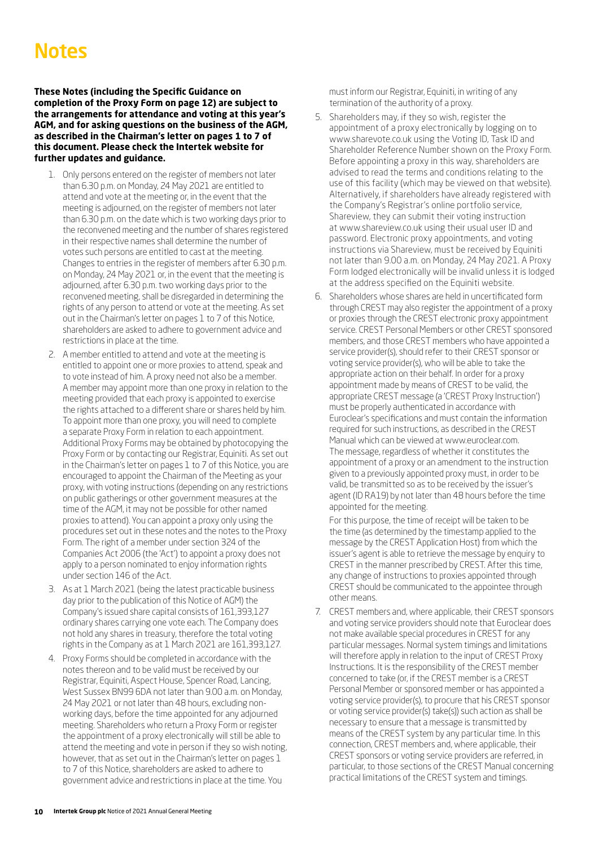# **Notes**

**These Notes (including the Specific Guidance on completion of the Proxy Form on page 12) are subject to the arrangements for attendance and voting at this year's AGM, and for asking questions on the business of the AGM, as described in the Chairman's letter on pages 1 to 7 of this document. Please check the Intertek website for further updates and guidance.**

- 1. Only persons entered on the register of members not later than 6.30 p.m. on Monday, 24 May 2021 are entitled to attend and vote at the meeting or, in the event that the meeting is adjourned, on the register of members not later than 6.30 p.m. on the date which is two working days prior to the reconvened meeting and the number of shares registered in their respective names shall determine the number of votes such persons are entitled to cast at the meeting. Changes to entries in the register of members after 6.30 p.m. on Monday, 24 May 2021 or, in the event that the meeting is adjourned, after 6.30 p.m. two working days prior to the reconvened meeting, shall be disregarded in determining the rights of any person to attend or vote at the meeting. As set out in the Chairman's letter on pages 1 to 7 of this Notice, shareholders are asked to adhere to government advice and restrictions in place at the time.
- 2. A member entitled to attend and vote at the meeting is entitled to appoint one or more proxies to attend, speak and to vote instead of him. A proxy need not also be a member. A member may appoint more than one proxy in relation to the meeting provided that each proxy is appointed to exercise the rights attached to a different share or shares held by him. To appoint more than one proxy, you will need to complete a separate Proxy Form in relation to each appointment. Additional Proxy Forms may be obtained by photocopying the Proxy Form or by contacting our Registrar, Equiniti. As set out in the Chairman's letter on pages 1 to 7 of this Notice, you are encouraged to appoint the Chairman of the Meeting as your proxy, with voting instructions (depending on any restrictions on public gatherings or other government measures at the time of the AGM, it may not be possible for other named proxies to attend). You can appoint a proxy only using the procedures set out in these notes and the notes to the Proxy Form. The right of a member under section 324 of the Companies Act 2006 (the 'Act') to appoint a proxy does not apply to a person nominated to enjoy information rights under section 146 of the Act.
- 3. As at 1 March 2021 (being the latest practicable business day prior to the publication of this Notice of AGM) the Company's issued share capital consists of 161,393,127 ordinary shares carrying one vote each. The Company does not hold any shares in treasury, therefore the total voting rights in the Company as at 1 March 2021 are 161,393,127.
- 4. Proxy Forms should be completed in accordance with the notes thereon and to be valid must be received by our Registrar, Equiniti, Aspect House, Spencer Road, Lancing, West Sussex BN99 6DA not later than 9.00 a.m. on Monday, 24 May 2021 or not later than 48 hours, excluding nonworking days, before the time appointed for any adjourned meeting. Shareholders who return a Proxy Form or register the appointment of a proxy electronically will still be able to attend the meeting and vote in person if they so wish noting, however, that as set out in the Chairman's letter on pages 1 to 7 of this Notice, shareholders are asked to adhere to government advice and restrictions in place at the time. You

must inform our Registrar, Equiniti, in writing of any termination of the authority of a proxy.

- 5. Shareholders may, if they so wish, register the appointment of a proxy electronically by logging on to www.sharevote.co.uk using the Voting ID, Task ID and Shareholder Reference Number shown on the Proxy Form. Before appointing a proxy in this way, shareholders are advised to read the terms and conditions relating to the use of this facility (which may be viewed on that website). Alternatively, if shareholders have already registered with the Company's Registrar's online portfolio service, Shareview, they can submit their voting instruction at www.shareview.co.uk using their usual user ID and password. Electronic proxy appointments, and voting instructions via Shareview, must be received by Equiniti not later than 9.00 a.m. on Monday, 24 May 2021. A Proxy Form lodged electronically will be invalid unless it is lodged at the address specified on the Equiniti website.
- 6. Shareholders whose shares are held in uncertificated form through CREST may also register the appointment of a proxy or proxies through the CREST electronic proxy appointment service. CREST Personal Members or other CREST sponsored members, and those CREST members who have appointed a service provider(s), should refer to their CREST sponsor or voting service provider(s), who will be able to take the appropriate action on their behalf. In order for a proxy appointment made by means of CREST to be valid, the appropriate CREST message (a 'CREST Proxy Instruction') must be properly authenticated in accordance with Euroclear's specifications and must contain the information required for such instructions, as described in the CREST Manual which can be viewed at www.euroclear.com. The message, regardless of whether it constitutes the appointment of a proxy or an amendment to the instruction given to a previously appointed proxy must, in order to be valid, be transmitted so as to be received by the issuer's agent (ID RA19) by not later than 48 hours before the time appointed for the meeting.

For this purpose, the time of receipt will be taken to be the time (as determined by the timestamp applied to the message by the CREST Application Host) from which the issuer's agent is able to retrieve the message by enquiry to CREST in the manner prescribed by CREST. After this time, any change of instructions to proxies appointed through CREST should be communicated to the appointee through other means.

7. CREST members and, where applicable, their CREST sponsors and voting service providers should note that Euroclear does not make available special procedures in CREST for any particular messages. Normal system timings and limitations will therefore apply in relation to the input of CREST Proxy Instructions. It is the responsibility of the CREST member concerned to take (or, if the CREST member is a CREST Personal Member or sponsored member or has appointed a voting service provider(s), to procure that his CREST sponsor or voting service provider(s) take(s)) such action as shall be necessary to ensure that a message is transmitted by means of the CREST system by any particular time. In this connection, CREST members and, where applicable, their CREST sponsors or voting service providers are referred, in particular, to those sections of the CREST Manual concerning practical limitations of the CREST system and timings.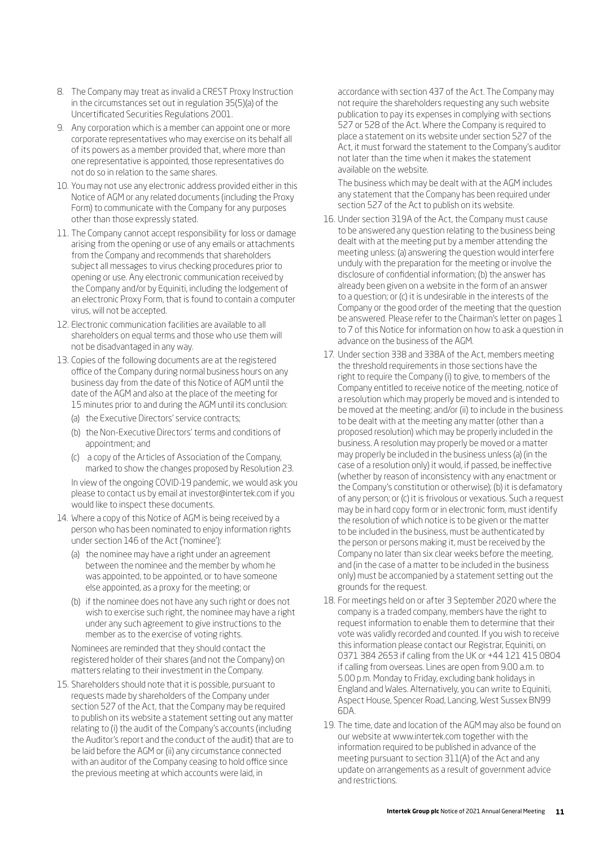- 8. The Company may treat as invalid a CREST Proxy Instruction in the circumstances set out in regulation 35(5)(a) of the Uncertificated Securities Regulations 2001.
- 9. Any corporation which is a member can appoint one or more corporate representatives who may exercise on its behalf all of its powers as a member provided that, where more than one representative is appointed, those representatives do not do so in relation to the same shares.
- 10. You may not use any electronic address provided either in this Notice of AGM or any related documents (including the Proxy Form) to communicate with the Company for any purposes other than those expressly stated.
- 11. The Company cannot accept responsibility for loss or damage arising from the opening or use of any emails or attachments from the Company and recommends that shareholders subject all messages to virus checking procedures prior to opening or use. Any electronic communication received by the Company and/or by Equiniti, including the lodgement of an electronic Proxy Form, that is found to contain a computer virus, will not be accepted.
- 12. Electronic communication facilities are available to all shareholders on equal terms and those who use them will not be disadvantaged in any way.
- 13. Copies of the following documents are at the registered office of the Company during normal business hours on any business day from the date of this Notice of AGM until the date of the AGM and also at the place of the meeting for 15 minutes prior to and during the AGM until its conclusion:
	- (a) the Executive Directors' service contracts;
	- (b) the Non-Executive Directors' terms and conditions of appointment; and
	- (c) a copy of the Articles of Association of the Company, marked to show the changes proposed by Resolution 23.

In view of the ongoing COVID-19 pandemic, we would ask you please to contact us by email at investor@intertek.com if you would like to inspect these documents.

- 14. Where a copy of this Notice of AGM is being received by a person who has been nominated to enjoy information rights under section 146 of the Act ('nominee'):
	- (a) the nominee may have a right under an agreement between the nominee and the member by whom he was appointed, to be appointed, or to have someone else appointed, as a proxy for the meeting; or
	- (b) if the nominee does not have any such right or does not wish to exercise such right, the nominee may have a right under any such agreement to give instructions to the member as to the exercise of voting rights.

Nominees are reminded that they should contact the registered holder of their shares (and not the Company) on matters relating to their investment in the Company.

15. Shareholders should note that it is possible, pursuant to requests made by shareholders of the Company under section 527 of the Act, that the Company may be required to publish on its website a statement setting out any matter relating to (i) the audit of the Company's accounts (including the Auditor's report and the conduct of the audit) that are to be laid before the AGM or (ii) any circumstance connected with an auditor of the Company ceasing to hold office since the previous meeting at which accounts were laid, in

accordance with section 437 of the Act. The Company may not require the shareholders requesting any such website publication to pay its expenses in complying with sections 527 or 528 of the Act. Where the Company is required to place a statement on its website under section 527 of the Act, it must forward the statement to the Company's auditor not later than the time when it makes the statement available on the website.

The business which may be dealt with at the AGM includes any statement that the Company has been required under section 527 of the Act to publish on its website.

- 16. Under section 319A of the Act, the Company must cause to be answered any question relating to the business being dealt with at the meeting put by a member attending the meeting unless: (a) answering the question would interfere unduly with the preparation for the meeting or involve the disclosure of confidential information; (b) the answer has already been given on a website in the form of an answer to a question; or (c) it is undesirable in the interests of the Company or the good order of the meeting that the question be answered. Please refer to the Chairman's letter on pages 1 to 7 of this Notice for information on how to ask a question in advance on the business of the AGM.
- 17. Under section 338 and 338A of the Act, members meeting the threshold requirements in those sections have the right to require the Company (i) to give, to members of the Company entitled to receive notice of the meeting, notice of a resolution which may properly be moved and is intended to be moved at the meeting; and/or (ii) to include in the business to be dealt with at the meeting any matter (other than a proposed resolution) which may be properly included in the business. A resolution may properly be moved or a matter may properly be included in the business unless (a) (in the case of a resolution only) it would, if passed, be ineffective (whether by reason of inconsistency with any enactment or the Company's constitution or otherwise); (b) it is defamatory of any person; or (c) it is frivolous or vexatious. Such a request may be in hard copy form or in electronic form, must identify the resolution of which notice is to be given or the matter to be included in the business, must be authenticated by the person or persons making it, must be received by the Company no later than six clear weeks before the meeting, and (in the case of a matter to be included in the business only) must be accompanied by a statement setting out the grounds for the request.
- 18. For meetings held on or after 3 September 2020 where the company is a traded company, members have the right to request information to enable them to determine that their vote was validly recorded and counted. If you wish to receive this information please contact our Registrar, Equiniti, on 0371 384 2653 if calling from the UK or +44 121 415 0804 if calling from overseas. Lines are open from 9.00 a.m. to 5.00 p.m. Monday to Friday, excluding bank holidays in England and Wales. Alternatively, you can write to Equiniti, Aspect House, Spencer Road, Lancing, West Sussex BN99 6DA.
- 19. The time, date and location of the AGM may also be found on our website at www.intertek.com together with the information required to be published in advance of the meeting pursuant to section 311(A) of the Act and any update on arrangements as a result of government advice and restrictions.